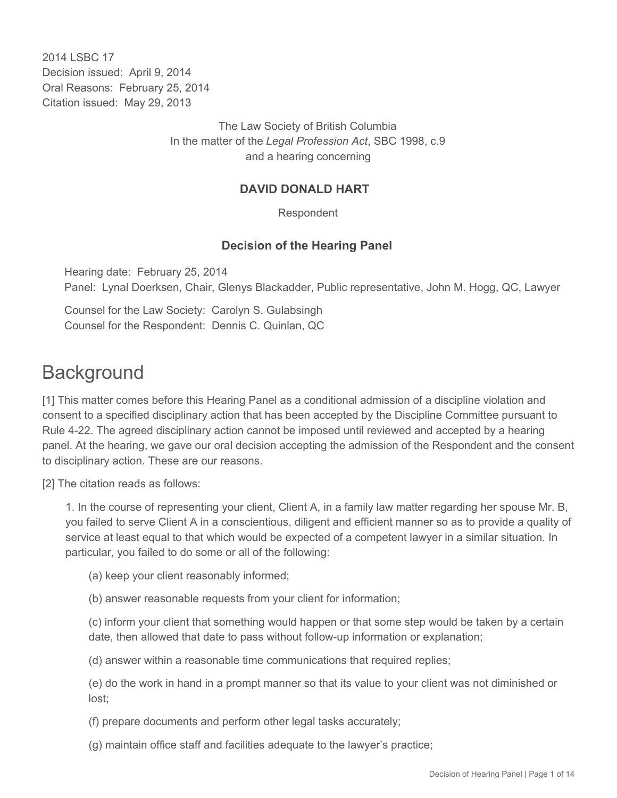2014 I SBC 17 Decision issued: April 9, 2014 Oral Reasons: February 25, 2014 Citation issued: May 29, 2013

> The Law Society of British Columbia In the matter of the *Legal Profession Act*, SBC 1998, c.9 and a hearing concerning

#### **DAVID DONALD HART**

Respondent

#### **Decision of the Hearing Panel**

Hearing date: February 25, 2014 Panel: Lynal Doerksen, Chair, Glenys Blackadder, Public representative, John M. Hogg, QC, Lawyer

Counsel for the Law Society: Carolyn S. Gulabsingh Counsel for the Respondent: Dennis C. Quinlan, QC

## **Background**

[1] This matter comes before this Hearing Panel as a conditional admission of a discipline violation and consent to a specified disciplinary action that has been accepted by the Discipline Committee pursuant to Rule 4-22. The agreed disciplinary action cannot be imposed until reviewed and accepted by a hearing panel. At the hearing, we gave our oral decision accepting the admission of the Respondent and the consent to disciplinary action. These are our reasons.

[2] The citation reads as follows:

1. In the course of representing your client, Client A, in a family law matter regarding her spouse Mr. B, you failed to serve Client A in a conscientious, diligent and efficient manner so as to provide a quality of service at least equal to that which would be expected of a competent lawyer in a similar situation. In particular, you failed to do some or all of the following:

(a) keep your client reasonably informed;

(b) answer reasonable requests from your client for information;

(c) inform your client that something would happen or that some step would be taken by a certain date, then allowed that date to pass without follow-up information or explanation;

(d) answer within a reasonable time communications that required replies;

(e) do the work in hand in a prompt manner so that its value to your client was not diminished or lost;

(f) prepare documents and perform other legal tasks accurately;

(g) maintain office staff and facilities adequate to the lawyer's practice;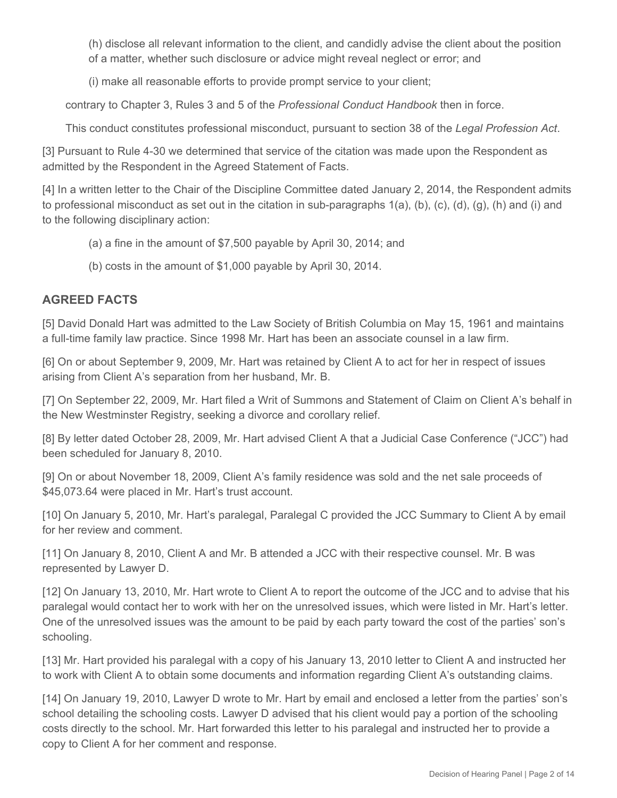(h) disclose all relevant information to the client, and candidly advise the client about the position of a matter, whether such disclosure or advice might reveal neglect or error; and

(i) make all reasonable efforts to provide prompt service to your client;

contrary to Chapter 3, Rules 3 and 5 of the *Professional Conduct Handbook* then in force.

This conduct constitutes professional misconduct, pursuant to section 38 of the *Legal Profession Act*.

[3] Pursuant to Rule 4-30 we determined that service of the citation was made upon the Respondent as admitted by the Respondent in the Agreed Statement of Facts.

[4] In a written letter to the Chair of the Discipline Committee dated January 2, 2014, the Respondent admits to professional misconduct as set out in the citation in sub-paragraphs 1(a), (b), (c), (d), (g), (h) and (i) and to the following disciplinary action:

- (a) a fine in the amount of \$7,500 payable by April 30, 2014; and
- (b) costs in the amount of \$1,000 payable by April 30, 2014.

## **AGREED FACTS**

[5] David Donald Hart was admitted to the Law Society of British Columbia on May 15, 1961 and maintains a full-time family law practice. Since 1998 Mr. Hart has been an associate counsel in a law firm.

[6] On or about September 9, 2009, Mr. Hart was retained by Client A to act for her in respect of issues arising from Client A's separation from her husband, Mr. B.

[7] On September 22, 2009, Mr. Hart filed a Writ of Summons and Statement of Claim on Client A's behalf in the New Westminster Registry, seeking a divorce and corollary relief.

[8] By letter dated October 28, 2009, Mr. Hart advised Client A that a Judicial Case Conference ("JCC") had been scheduled for January 8, 2010.

[9] On or about November 18, 2009, Client A's family residence was sold and the net sale proceeds of \$45,073.64 were placed in Mr. Hart's trust account.

[10] On January 5, 2010, Mr. Hart's paralegal, Paralegal C provided the JCC Summary to Client A by email for her review and comment.

[11] On January 8, 2010, Client A and Mr. B attended a JCC with their respective counsel. Mr. B was represented by Lawyer D.

[12] On January 13, 2010, Mr. Hart wrote to Client A to report the outcome of the JCC and to advise that his paralegal would contact her to work with her on the unresolved issues, which were listed in Mr. Hart's letter. One of the unresolved issues was the amount to be paid by each party toward the cost of the parties' son's schooling.

[13] Mr. Hart provided his paralegal with a copy of his January 13, 2010 letter to Client A and instructed her to work with Client A to obtain some documents and information regarding Client A's outstanding claims.

[14] On January 19, 2010, Lawyer D wrote to Mr. Hart by email and enclosed a letter from the parties' son's school detailing the schooling costs. Lawyer D advised that his client would pay a portion of the schooling costs directly to the school. Mr. Hart forwarded this letter to his paralegal and instructed her to provide a copy to Client A for her comment and response.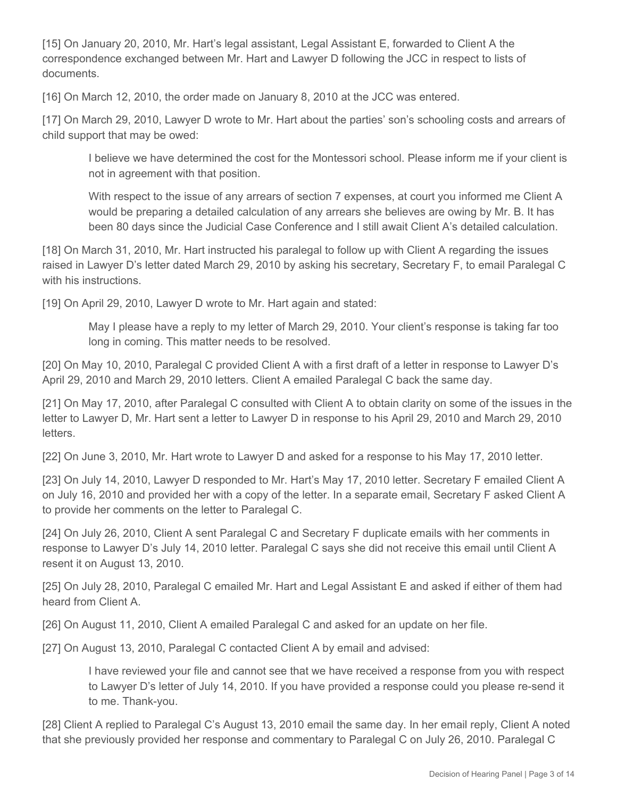[15] On January 20, 2010, Mr. Hart's legal assistant, Legal Assistant E, forwarded to Client A the correspondence exchanged between Mr. Hart and Lawyer D following the JCC in respect to lists of documents.

[16] On March 12, 2010, the order made on January 8, 2010 at the JCC was entered.

[17] On March 29, 2010, Lawyer D wrote to Mr. Hart about the parties' son's schooling costs and arrears of child support that may be owed:

I believe we have determined the cost for the Montessori school. Please inform me if your client is not in agreement with that position.

With respect to the issue of any arrears of section 7 expenses, at court you informed me Client A would be preparing a detailed calculation of any arrears she believes are owing by Mr. B. It has been 80 days since the Judicial Case Conference and I still await Client A's detailed calculation.

[18] On March 31, 2010, Mr. Hart instructed his paralegal to follow up with Client A regarding the issues raised in Lawyer D's letter dated March 29, 2010 by asking his secretary, Secretary F, to email Paralegal C with his instructions.

[19] On April 29, 2010, Lawyer D wrote to Mr. Hart again and stated:

May I please have a reply to my letter of March 29, 2010. Your client's response is taking far too long in coming. This matter needs to be resolved.

[20] On May 10, 2010, Paralegal C provided Client A with a first draft of a letter in response to Lawyer D's April 29, 2010 and March 29, 2010 letters. Client A emailed Paralegal C back the same day.

[21] On May 17, 2010, after Paralegal C consulted with Client A to obtain clarity on some of the issues in the letter to Lawyer D, Mr. Hart sent a letter to Lawyer D in response to his April 29, 2010 and March 29, 2010 letters.

[22] On June 3, 2010, Mr. Hart wrote to Lawyer D and asked for a response to his May 17, 2010 letter.

[23] On July 14, 2010, Lawyer D responded to Mr. Hart's May 17, 2010 letter. Secretary F emailed Client A on July 16, 2010 and provided her with a copy of the letter. In a separate email, Secretary F asked Client A to provide her comments on the letter to Paralegal C.

[24] On July 26, 2010, Client A sent Paralegal C and Secretary F duplicate emails with her comments in response to Lawyer D's July 14, 2010 letter. Paralegal C says she did not receive this email until Client A resent it on August 13, 2010.

[25] On July 28, 2010, Paralegal C emailed Mr. Hart and Legal Assistant E and asked if either of them had heard from Client A.

[26] On August 11, 2010, Client A emailed Paralegal C and asked for an update on her file.

[27] On August 13, 2010, Paralegal C contacted Client A by email and advised:

I have reviewed your file and cannot see that we have received a response from you with respect to Lawyer D's letter of July 14, 2010. If you have provided a response could you please re-send it to me. Thank-you.

[28] Client A replied to Paralegal C's August 13, 2010 email the same day. In her email reply, Client A noted that she previously provided her response and commentary to Paralegal C on July 26, 2010. Paralegal C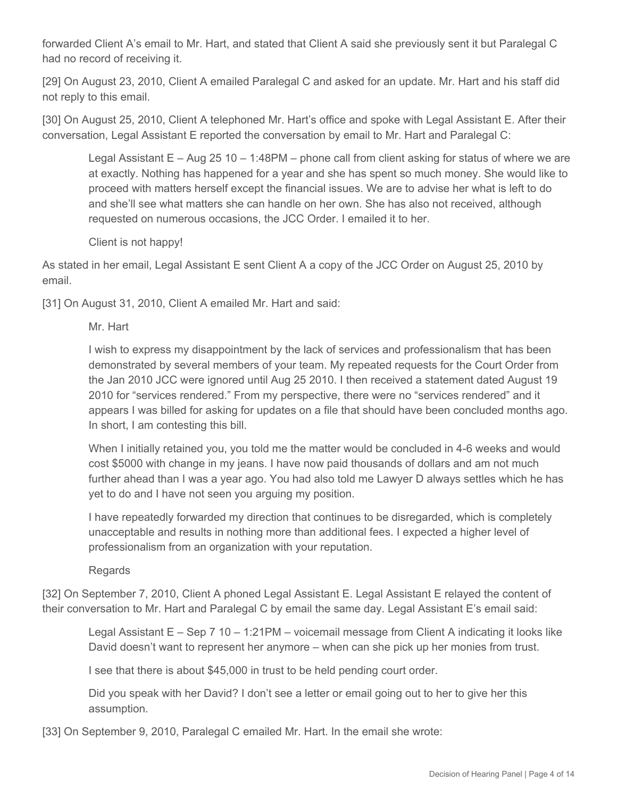forwarded Client A's email to Mr. Hart, and stated that Client A said she previously sent it but Paralegal C had no record of receiving it.

[29] On August 23, 2010, Client A emailed Paralegal C and asked for an update. Mr. Hart and his staff did not reply to this email.

[30] On August 25, 2010, Client A telephoned Mr. Hart's office and spoke with Legal Assistant E. After their conversation, Legal Assistant E reported the conversation by email to Mr. Hart and Paralegal C:

Legal Assistant  $E - Aug 25 10 - 1:48PM - phone call from client asking for status of where we are$ at exactly. Nothing has happened for a year and she has spent so much money. She would like to proceed with matters herself except the financial issues. We are to advise her what is left to do and she'll see what matters she can handle on her own. She has also not received, although requested on numerous occasions, the JCC Order. I emailed it to her.

Client is not happy!

As stated in her email, Legal Assistant E sent Client A a copy of the JCC Order on August 25, 2010 by email.

[31] On August 31, 2010, Client A emailed Mr. Hart and said:

Mr. Hart

I wish to express my disappointment by the lack of services and professionalism that has been demonstrated by several members of your team. My repeated requests for the Court Order from the Jan 2010 JCC were ignored until Aug 25 2010. I then received a statement dated August 19 2010 for "services rendered." From my perspective, there were no "services rendered" and it appears I was billed for asking for updates on a file that should have been concluded months ago. In short, I am contesting this bill.

When I initially retained you, you told me the matter would be concluded in 4-6 weeks and would cost \$5000 with change in my jeans. I have now paid thousands of dollars and am not much further ahead than I was a year ago. You had also told me Lawyer D always settles which he has yet to do and I have not seen you arguing my position.

I have repeatedly forwarded my direction that continues to be disregarded, which is completely unacceptable and results in nothing more than additional fees. I expected a higher level of professionalism from an organization with your reputation.

Regards

[32] On September 7, 2010, Client A phoned Legal Assistant E. Legal Assistant E relayed the content of their conversation to Mr. Hart and Paralegal C by email the same day. Legal Assistant E's email said:

Legal Assistant E – Sep 7 10 – 1:21PM – voicemail message from Client A indicating it looks like David doesn't want to represent her anymore – when can she pick up her monies from trust.

I see that there is about \$45,000 in trust to be held pending court order.

Did you speak with her David? I don't see a letter or email going out to her to give her this assumption.

[33] On September 9, 2010, Paralegal C emailed Mr. Hart. In the email she wrote: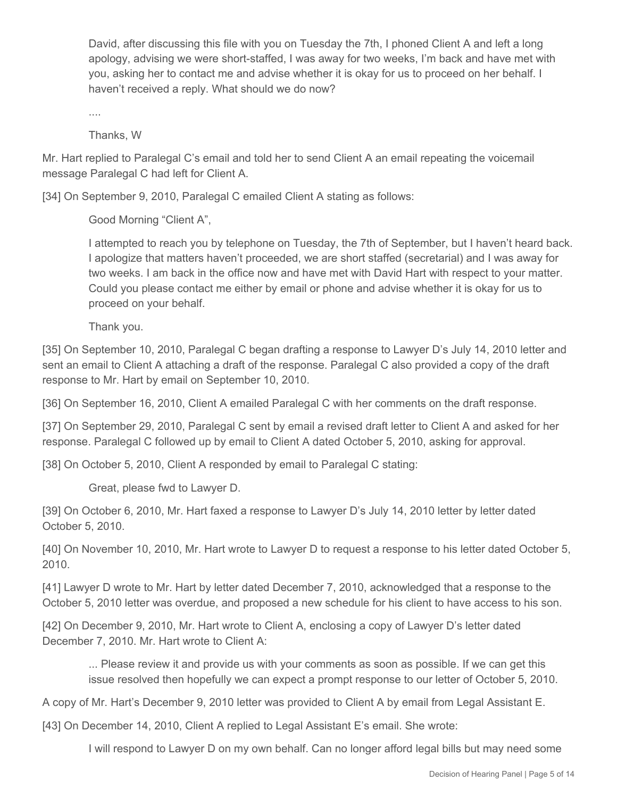David, after discussing this file with you on Tuesday the 7th, I phoned Client A and left a long apology, advising we were short-staffed, I was away for two weeks, I'm back and have met with you, asking her to contact me and advise whether it is okay for us to proceed on her behalf. I haven't received a reply. What should we do now?

....

Thanks, W

Mr. Hart replied to Paralegal C's email and told her to send Client A an email repeating the voicemail message Paralegal C had left for Client A.

[34] On September 9, 2010, Paralegal C emailed Client A stating as follows:

Good Morning "Client A",

I attempted to reach you by telephone on Tuesday, the 7th of September, but I haven't heard back. I apologize that matters haven't proceeded, we are short staffed (secretarial) and I was away for two weeks. I am back in the office now and have met with David Hart with respect to your matter. Could you please contact me either by email or phone and advise whether it is okay for us to proceed on your behalf.

Thank you.

[35] On September 10, 2010, Paralegal C began drafting a response to Lawyer D's July 14, 2010 letter and sent an email to Client A attaching a draft of the response. Paralegal C also provided a copy of the draft response to Mr. Hart by email on September 10, 2010.

[36] On September 16, 2010, Client A emailed Paralegal C with her comments on the draft response.

[37] On September 29, 2010, Paralegal C sent by email a revised draft letter to Client A and asked for her response. Paralegal C followed up by email to Client A dated October 5, 2010, asking for approval.

[38] On October 5, 2010, Client A responded by email to Paralegal C stating:

Great, please fwd to Lawyer D.

[39] On October 6, 2010, Mr. Hart faxed a response to Lawyer D's July 14, 2010 letter by letter dated October 5, 2010.

[40] On November 10, 2010, Mr. Hart wrote to Lawyer D to request a response to his letter dated October 5, 2010.

[41] Lawyer D wrote to Mr. Hart by letter dated December 7, 2010, acknowledged that a response to the October 5, 2010 letter was overdue, and proposed a new schedule for his client to have access to his son.

[42] On December 9, 2010, Mr. Hart wrote to Client A, enclosing a copy of Lawyer D's letter dated December 7, 2010. Mr. Hart wrote to Client A:

... Please review it and provide us with your comments as soon as possible. If we can get this issue resolved then hopefully we can expect a prompt response to our letter of October 5, 2010.

A copy of Mr. Hart's December 9, 2010 letter was provided to Client A by email from Legal Assistant E.

[43] On December 14, 2010, Client A replied to Legal Assistant E's email. She wrote:

I will respond to Lawyer D on my own behalf. Can no longer afford legal bills but may need some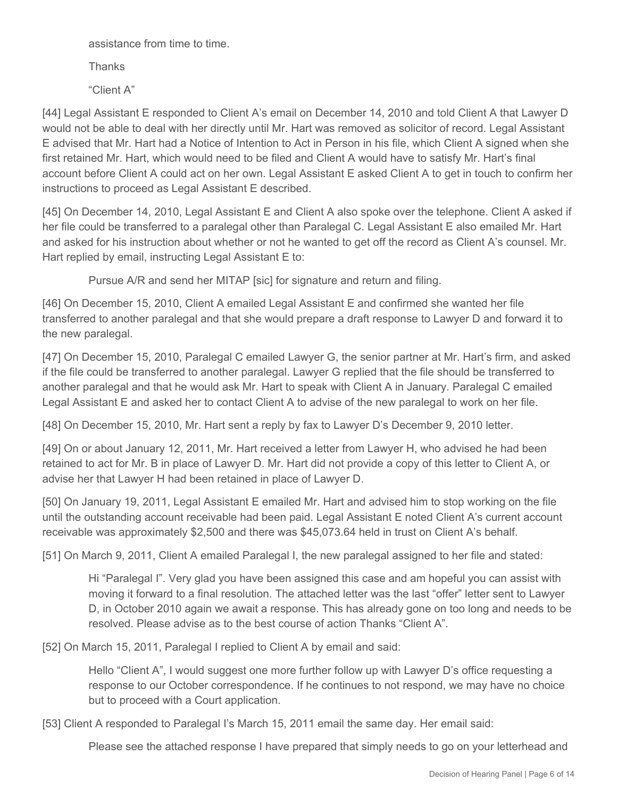assistance from time to time.

**Thanks** 

"Client A"

[44] Legal Assistant E responded to Client A's email on December 14, 2010 and told Client A that Lawyer D would not be able to deal with her directly until Mr. Hart was removed as solicitor of record. Legal Assistant E advised that Mr. Hart had a Notice of Intention to Act in Person in his file, which Client A signed when she first retained Mr. Hart, which would need to be filed and Client A would have to satisfy Mr. Hart's final account before Client A could act on her own. Legal Assistant E asked Client A to get in touch to confirm her instructions to proceed as Legal Assistant E described.

[45] On December 14, 2010, Legal Assistant E and Client A also spoke over the telephone. Client A asked if her file could be transferred to a paralegal other than Paralegal C. Legal Assistant E also emailed Mr. Hart and asked for his instruction about whether or not he wanted to get off the record as Client A's counsel. Mr. Hart replied by email, instructing Legal Assistant E to:

Pursue A/R and send her MITAP [sic] for signature and return and filing.

[46] On December 15, 2010, Client A emailed Legal Assistant E and confirmed she wanted her file transferred to another paralegal and that she would prepare a draft response to Lawyer D and forward it to the new paralegal.

[47] On December 15, 2010, Paralegal C emailed Lawyer G, the senior partner at Mr. Hart's firm, and asked if the file could be transferred to another paralegal. Lawyer G replied that the file should be transferred to another paralegal and that he would ask Mr. Hart to speak with Client A in January. Paralegal C emailed Legal Assistant E and asked her to contact Client A to advise of the new paralegal to work on her file.

[48] On December 15, 2010, Mr. Hart sent a reply by fax to Lawyer D's December 9, 2010 letter.

[49] On or about January 12, 2011, Mr. Hart received a letter from Lawyer H, who advised he had been retained to act for Mr. B in place of Lawyer D. Mr. Hart did not provide a copy of this letter to Client A, or advise her that Lawyer H had been retained in place of Lawyer D.

[50] On January 19, 2011, Legal Assistant E emailed Mr. Hart and advised him to stop working on the file until the outstanding account receivable had been paid. Legal Assistant E noted Client A's current account receivable was approximately \$2,500 and there was \$45,073.64 held in trust on Client A's behalf.

[51] On March 9, 2011, Client A emailed Paralegal I, the new paralegal assigned to her file and stated:

Hi "Paralegal I". Very glad you have been assigned this case and am hopeful you can assist with moving it forward to a final resolution. The attached letter was the last "offer" letter sent to Lawyer D, in October 2010 again we await a response. This has already gone on too long and needs to be resolved. Please advise as to the best course of action Thanks "Client A".

[52] On March 15, 2011, Paralegal I replied to Client A by email and said:

Hello "Client A", I would suggest one more further follow up with Lawyer D's office requesting a response to our October correspondence. If he continues to not respond, we may have no choice but to proceed with a Court application.

[53] Client A responded to Paralegal I's March 15, 2011 email the same day. Her email said:

Please see the attached response I have prepared that simply needs to go on your letterhead and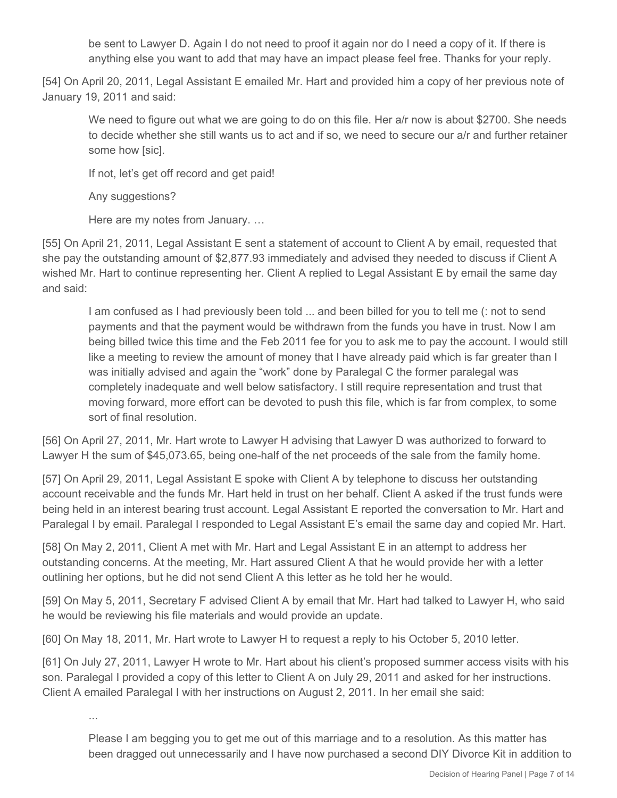be sent to Lawyer D. Again I do not need to proof it again nor do I need a copy of it. If there is anything else you want to add that may have an impact please feel free. Thanks for your reply.

[54] On April 20, 2011, Legal Assistant E emailed Mr. Hart and provided him a copy of her previous note of January 19, 2011 and said:

We need to figure out what we are going to do on this file. Her a/r now is about \$2700. She needs to decide whether she still wants us to act and if so, we need to secure our a/r and further retainer some how [sic].

If not, let's get off record and get paid!

Any suggestions?

Here are my notes from January. …

[55] On April 21, 2011, Legal Assistant E sent a statement of account to Client A by email, requested that she pay the outstanding amount of \$2,877.93 immediately and advised they needed to discuss if Client A wished Mr. Hart to continue representing her. Client A replied to Legal Assistant E by email the same day and said:

I am confused as I had previously been told ... and been billed for you to tell me (: not to send payments and that the payment would be withdrawn from the funds you have in trust. Now I am being billed twice this time and the Feb 2011 fee for you to ask me to pay the account. I would still like a meeting to review the amount of money that I have already paid which is far greater than I was initially advised and again the "work" done by Paralegal C the former paralegal was completely inadequate and well below satisfactory. I still require representation and trust that moving forward, more effort can be devoted to push this file, which is far from complex, to some sort of final resolution.

[56] On April 27, 2011, Mr. Hart wrote to Lawyer H advising that Lawyer D was authorized to forward to Lawyer H the sum of \$45,073.65, being one-half of the net proceeds of the sale from the family home.

[57] On April 29, 2011, Legal Assistant E spoke with Client A by telephone to discuss her outstanding account receivable and the funds Mr. Hart held in trust on her behalf. Client A asked if the trust funds were being held in an interest bearing trust account. Legal Assistant E reported the conversation to Mr. Hart and Paralegal I by email. Paralegal I responded to Legal Assistant E's email the same day and copied Mr. Hart.

[58] On May 2, 2011, Client A met with Mr. Hart and Legal Assistant E in an attempt to address her outstanding concerns. At the meeting, Mr. Hart assured Client A that he would provide her with a letter outlining her options, but he did not send Client A this letter as he told her he would.

[59] On May 5, 2011, Secretary F advised Client A by email that Mr. Hart had talked to Lawyer H, who said he would be reviewing his file materials and would provide an update.

[60] On May 18, 2011, Mr. Hart wrote to Lawyer H to request a reply to his October 5, 2010 letter.

[61] On July 27, 2011, Lawyer H wrote to Mr. Hart about his client's proposed summer access visits with his son. Paralegal I provided a copy of this letter to Client A on July 29, 2011 and asked for her instructions. Client A emailed Paralegal I with her instructions on August 2, 2011. In her email she said:

...

Please I am begging you to get me out of this marriage and to a resolution. As this matter has been dragged out unnecessarily and I have now purchased a second DIY Divorce Kit in addition to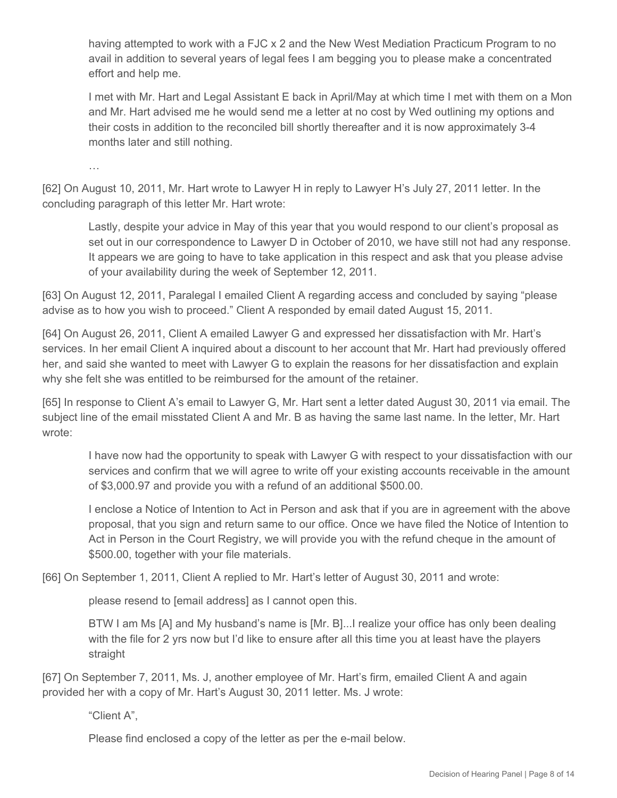having attempted to work with a FJC x 2 and the New West Mediation Practicum Program to no avail in addition to several years of legal fees I am begging you to please make a concentrated effort and help me.

I met with Mr. Hart and Legal Assistant E back in April/May at which time I met with them on a Mon and Mr. Hart advised me he would send me a letter at no cost by Wed outlining my options and their costs in addition to the reconciled bill shortly thereafter and it is now approximately 3-4 months later and still nothing.

…

[62] On August 10, 2011, Mr. Hart wrote to Lawyer H in reply to Lawyer H's July 27, 2011 letter. In the concluding paragraph of this letter Mr. Hart wrote:

Lastly, despite your advice in May of this year that you would respond to our client's proposal as set out in our correspondence to Lawyer D in October of 2010, we have still not had any response. It appears we are going to have to take application in this respect and ask that you please advise of your availability during the week of September 12, 2011.

[63] On August 12, 2011, Paralegal I emailed Client A regarding access and concluded by saying "please advise as to how you wish to proceed." Client A responded by email dated August 15, 2011.

[64] On August 26, 2011, Client A emailed Lawyer G and expressed her dissatisfaction with Mr. Hart's services. In her email Client A inquired about a discount to her account that Mr. Hart had previously offered her, and said she wanted to meet with Lawyer G to explain the reasons for her dissatisfaction and explain why she felt she was entitled to be reimbursed for the amount of the retainer.

[65] In response to Client A's email to Lawyer G, Mr. Hart sent a letter dated August 30, 2011 via email. The subject line of the email misstated Client A and Mr. B as having the same last name. In the letter, Mr. Hart wrote:

I have now had the opportunity to speak with Lawyer G with respect to your dissatisfaction with our services and confirm that we will agree to write off your existing accounts receivable in the amount of \$3,000.97 and provide you with a refund of an additional \$500.00.

I enclose a Notice of Intention to Act in Person and ask that if you are in agreement with the above proposal, that you sign and return same to our office. Once we have filed the Notice of Intention to Act in Person in the Court Registry, we will provide you with the refund cheque in the amount of \$500.00, together with your file materials.

[66] On September 1, 2011, Client A replied to Mr. Hart's letter of August 30, 2011 and wrote:

please resend to [email address] as I cannot open this.

BTW I am Ms [A] and My husband's name is [Mr. B]...I realize your office has only been dealing with the file for 2 yrs now but I'd like to ensure after all this time you at least have the players straight

[67] On September 7, 2011, Ms. J, another employee of Mr. Hart's firm, emailed Client A and again provided her with a copy of Mr. Hart's August 30, 2011 letter. Ms. J wrote:

"Client A",

Please find enclosed a copy of the letter as per the e-mail below.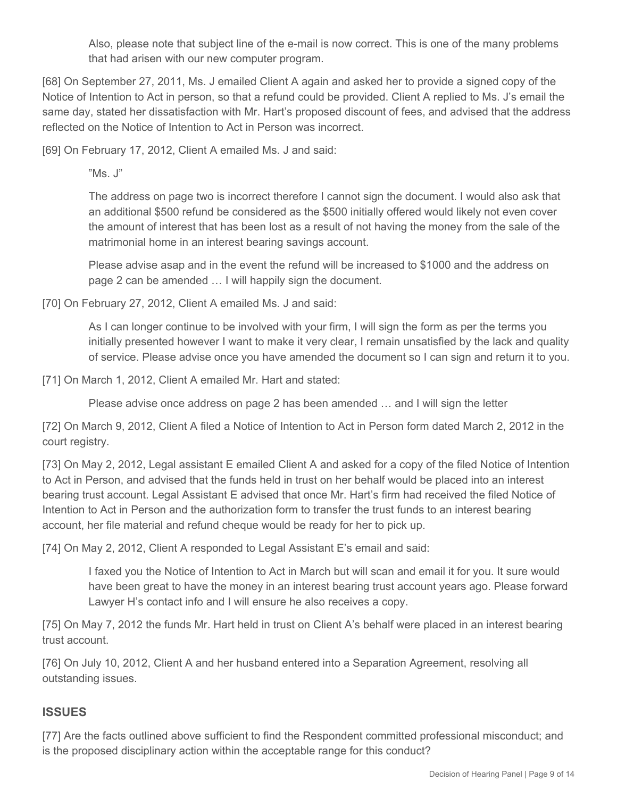Also, please note that subject line of the e-mail is now correct. This is one of the many problems that had arisen with our new computer program.

[68] On September 27, 2011, Ms. J emailed Client A again and asked her to provide a signed copy of the Notice of Intention to Act in person, so that a refund could be provided. Client A replied to Ms. J's email the same day, stated her dissatisfaction with Mr. Hart's proposed discount of fees, and advised that the address reflected on the Notice of Intention to Act in Person was incorrect.

[69] On February 17, 2012, Client A emailed Ms. J and said:

"Ms. J"

The address on page two is incorrect therefore I cannot sign the document. I would also ask that an additional \$500 refund be considered as the \$500 initially offered would likely not even cover the amount of interest that has been lost as a result of not having the money from the sale of the matrimonial home in an interest bearing savings account.

Please advise asap and in the event the refund will be increased to \$1000 and the address on page 2 can be amended … I will happily sign the document.

[70] On February 27, 2012, Client A emailed Ms. J and said:

As I can longer continue to be involved with your firm, I will sign the form as per the terms you initially presented however I want to make it very clear, I remain unsatisfied by the lack and quality of service. Please advise once you have amended the document so I can sign and return it to you.

[71] On March 1, 2012, Client A emailed Mr. Hart and stated:

Please advise once address on page 2 has been amended … and I will sign the letter

[72] On March 9, 2012, Client A filed a Notice of Intention to Act in Person form dated March 2, 2012 in the court registry.

[73] On May 2, 2012, Legal assistant E emailed Client A and asked for a copy of the filed Notice of Intention to Act in Person, and advised that the funds held in trust on her behalf would be placed into an interest bearing trust account. Legal Assistant E advised that once Mr. Hart's firm had received the filed Notice of Intention to Act in Person and the authorization form to transfer the trust funds to an interest bearing account, her file material and refund cheque would be ready for her to pick up.

[74] On May 2, 2012, Client A responded to Legal Assistant E's email and said:

I faxed you the Notice of Intention to Act in March but will scan and email it for you. It sure would have been great to have the money in an interest bearing trust account years ago. Please forward Lawyer H's contact info and I will ensure he also receives a copy.

[75] On May 7, 2012 the funds Mr. Hart held in trust on Client A's behalf were placed in an interest bearing trust account.

[76] On July 10, 2012, Client A and her husband entered into a Separation Agreement, resolving all outstanding issues.

## **ISSUES**

[77] Are the facts outlined above sufficient to find the Respondent committed professional misconduct; and is the proposed disciplinary action within the acceptable range for this conduct?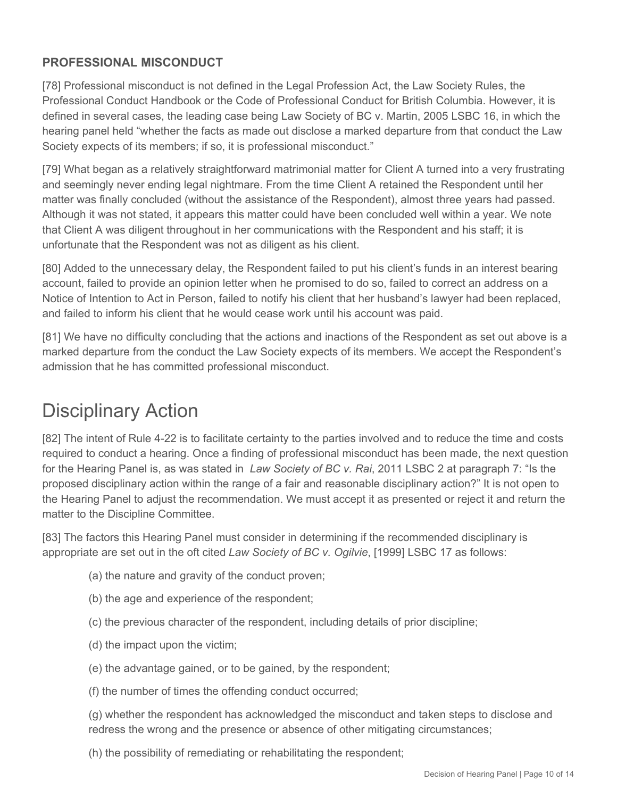## **PROFESSIONAL MISCONDUCT**

[78] Professional misconduct is not defined in the Legal Profession Act, the Law Society Rules, the Professional Conduct Handbook or the Code of Professional Conduct for British Columbia. However, it is defined in several cases, the leading case being Law Society of BC v. Martin, 2005 LSBC 16, in which the hearing panel held "whether the facts as made out disclose a marked departure from that conduct the Law Society expects of its members; if so, it is professional misconduct."

[79] What began as a relatively straightforward matrimonial matter for Client A turned into a very frustrating and seemingly never ending legal nightmare. From the time Client A retained the Respondent until her matter was finally concluded (without the assistance of the Respondent), almost three years had passed. Although it was not stated, it appears this matter could have been concluded well within a year. We note that Client A was diligent throughout in her communications with the Respondent and his staff; it is unfortunate that the Respondent was not as diligent as his client.

[80] Added to the unnecessary delay, the Respondent failed to put his client's funds in an interest bearing account, failed to provide an opinion letter when he promised to do so, failed to correct an address on a Notice of Intention to Act in Person, failed to notify his client that her husband's lawyer had been replaced, and failed to inform his client that he would cease work until his account was paid.

[81] We have no difficulty concluding that the actions and inactions of the Respondent as set out above is a marked departure from the conduct the Law Society expects of its members. We accept the Respondent's admission that he has committed professional misconduct.

# Disciplinary Action

[82] The intent of Rule 4-22 is to facilitate certainty to the parties involved and to reduce the time and costs required to conduct a hearing. Once a finding of professional misconduct has been made, the next question for the Hearing Panel is, as was stated in *Law Society of BC v. Rai*, 2011 LSBC 2 at paragraph 7: "Is the proposed disciplinary action within the range of a fair and reasonable disciplinary action?" It is not open to the Hearing Panel to adjust the recommendation. We must accept it as presented or reject it and return the matter to the Discipline Committee.

[83] The factors this Hearing Panel must consider in determining if the recommended disciplinary is appropriate are set out in the oft cited *Law Society of BC v. Ogilvie*, [1999] LSBC 17 as follows:

- (a) the nature and gravity of the conduct proven;
- (b) the age and experience of the respondent;
- (c) the previous character of the respondent, including details of prior discipline;
- (d) the impact upon the victim;
- (e) the advantage gained, or to be gained, by the respondent;
- (f) the number of times the offending conduct occurred;

(g) whether the respondent has acknowledged the misconduct and taken steps to disclose and redress the wrong and the presence or absence of other mitigating circumstances;

(h) the possibility of remediating or rehabilitating the respondent;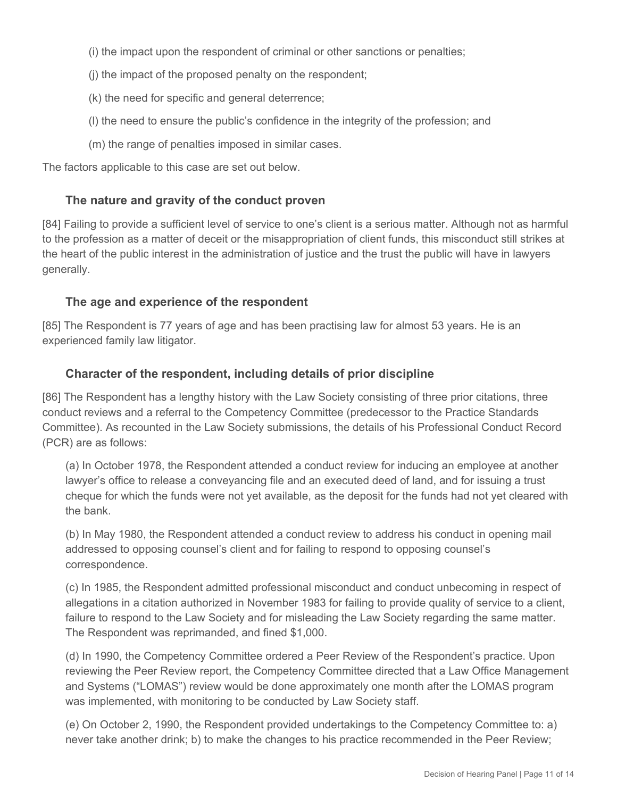(i) the impact upon the respondent of criminal or other sanctions or penalties;

- (j) the impact of the proposed penalty on the respondent;
- (k) the need for specific and general deterrence;
- (l) the need to ensure the public's confidence in the integrity of the profession; and
- (m) the range of penalties imposed in similar cases.

The factors applicable to this case are set out below.

#### **The nature and gravity of the conduct proven**

[84] Failing to provide a sufficient level of service to one's client is a serious matter. Although not as harmful to the profession as a matter of deceit or the misappropriation of client funds, this misconduct still strikes at the heart of the public interest in the administration of justice and the trust the public will have in lawyers generally.

#### **The age and experience of the respondent**

[85] The Respondent is 77 years of age and has been practising law for almost 53 years. He is an experienced family law litigator.

#### **Character of the respondent, including details of prior discipline**

[86] The Respondent has a lengthy history with the Law Society consisting of three prior citations, three conduct reviews and a referral to the Competency Committee (predecessor to the Practice Standards Committee). As recounted in the Law Society submissions, the details of his Professional Conduct Record (PCR) are as follows:

(a) In October 1978, the Respondent attended a conduct review for inducing an employee at another lawyer's office to release a conveyancing file and an executed deed of land, and for issuing a trust cheque for which the funds were not yet available, as the deposit for the funds had not yet cleared with the bank.

(b) In May 1980, the Respondent attended a conduct review to address his conduct in opening mail addressed to opposing counsel's client and for failing to respond to opposing counsel's correspondence.

(c) In 1985, the Respondent admitted professional misconduct and conduct unbecoming in respect of allegations in a citation authorized in November 1983 for failing to provide quality of service to a client, failure to respond to the Law Society and for misleading the Law Society regarding the same matter. The Respondent was reprimanded, and fined \$1,000.

(d) In 1990, the Competency Committee ordered a Peer Review of the Respondent's practice. Upon reviewing the Peer Review report, the Competency Committee directed that a Law Office Management and Systems ("LOMAS") review would be done approximately one month after the LOMAS program was implemented, with monitoring to be conducted by Law Society staff.

(e) On October 2, 1990, the Respondent provided undertakings to the Competency Committee to: a) never take another drink; b) to make the changes to his practice recommended in the Peer Review;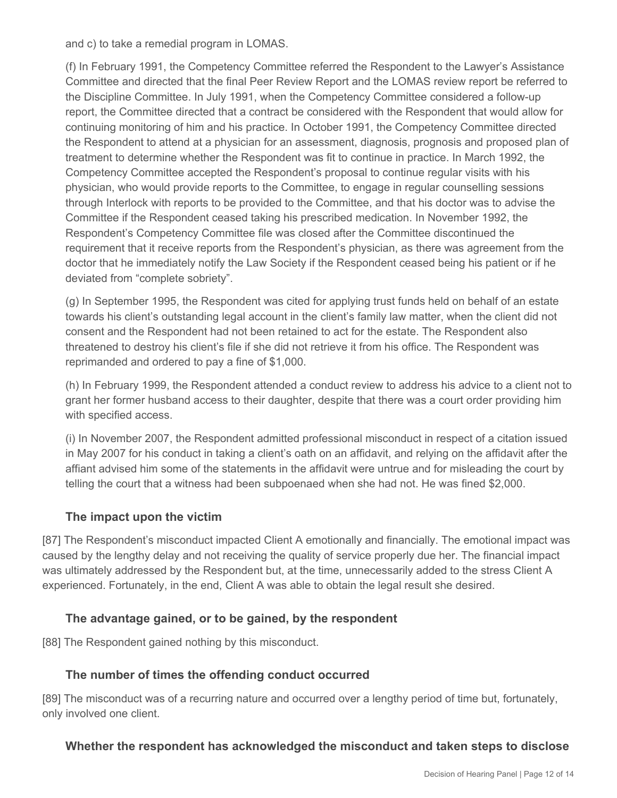and c) to take a remedial program in LOMAS.

(f) In February 1991, the Competency Committee referred the Respondent to the Lawyer's Assistance Committee and directed that the final Peer Review Report and the LOMAS review report be referred to the Discipline Committee. In July 1991, when the Competency Committee considered a follow-up report, the Committee directed that a contract be considered with the Respondent that would allow for continuing monitoring of him and his practice. In October 1991, the Competency Committee directed the Respondent to attend at a physician for an assessment, diagnosis, prognosis and proposed plan of treatment to determine whether the Respondent was fit to continue in practice. In March 1992, the Competency Committee accepted the Respondent's proposal to continue regular visits with his physician, who would provide reports to the Committee, to engage in regular counselling sessions through Interlock with reports to be provided to the Committee, and that his doctor was to advise the Committee if the Respondent ceased taking his prescribed medication. In November 1992, the Respondent's Competency Committee file was closed after the Committee discontinued the requirement that it receive reports from the Respondent's physician, as there was agreement from the doctor that he immediately notify the Law Society if the Respondent ceased being his patient or if he deviated from "complete sobriety".

(g) In September 1995, the Respondent was cited for applying trust funds held on behalf of an estate towards his client's outstanding legal account in the client's family law matter, when the client did not consent and the Respondent had not been retained to act for the estate. The Respondent also threatened to destroy his client's file if she did not retrieve it from his office. The Respondent was reprimanded and ordered to pay a fine of \$1,000.

(h) In February 1999, the Respondent attended a conduct review to address his advice to a client not to grant her former husband access to their daughter, despite that there was a court order providing him with specified access.

(i) In November 2007, the Respondent admitted professional misconduct in respect of a citation issued in May 2007 for his conduct in taking a client's oath on an affidavit, and relying on the affidavit after the affiant advised him some of the statements in the affidavit were untrue and for misleading the court by telling the court that a witness had been subpoenaed when she had not. He was fined \$2,000.

#### **The impact upon the victim**

[87] The Respondent's misconduct impacted Client A emotionally and financially. The emotional impact was caused by the lengthy delay and not receiving the quality of service properly due her. The financial impact was ultimately addressed by the Respondent but, at the time, unnecessarily added to the stress Client A experienced. Fortunately, in the end, Client A was able to obtain the legal result she desired.

## **The advantage gained, or to be gained, by the respondent**

[88] The Respondent gained nothing by this misconduct.

## **The number of times the offending conduct occurred**

[89] The misconduct was of a recurring nature and occurred over a lengthy period of time but, fortunately, only involved one client.

## **Whether the respondent has acknowledged the misconduct and taken steps to disclose**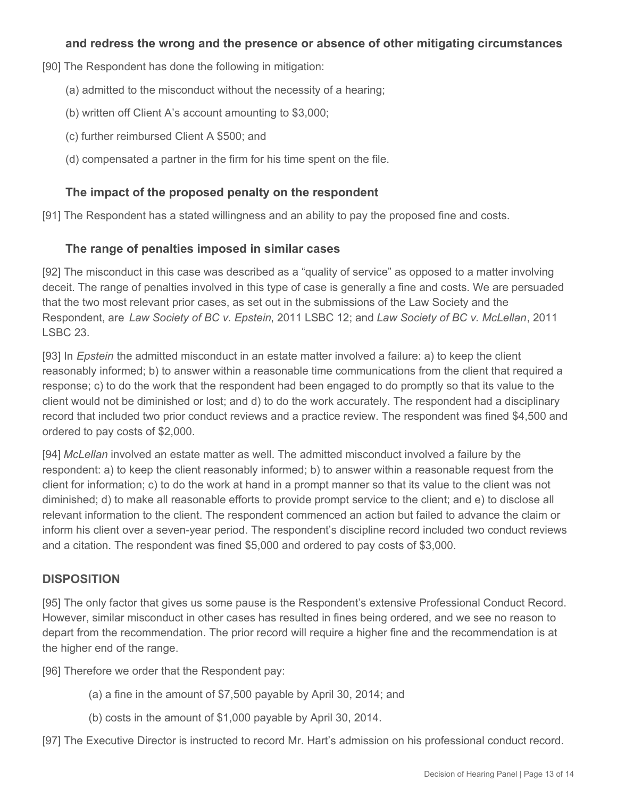#### **and redress the wrong and the presence or absence of other mitigating circumstances**

[90] The Respondent has done the following in mitigation:

- (a) admitted to the misconduct without the necessity of a hearing;
- (b) written off Client A's account amounting to \$3,000;
- (c) further reimbursed Client A \$500; and
- (d) compensated a partner in the firm for his time spent on the file.

#### **The impact of the proposed penalty on the respondent**

[91] The Respondent has a stated willingness and an ability to pay the proposed fine and costs.

#### **The range of penalties imposed in similar cases**

[92] The misconduct in this case was described as a "quality of service" as opposed to a matter involving deceit. The range of penalties involved in this type of case is generally a fine and costs. We are persuaded that the two most relevant prior cases, as set out in the submissions of the Law Society and the Respondent, are *Law Society of BC v. Epstein*, 2011 LSBC 12; and *Law Society of BC v. McLellan*, 2011 LSBC 23.

[93] In *Epstein* the admitted misconduct in an estate matter involved a failure: a) to keep the client reasonably informed; b) to answer within a reasonable time communications from the client that required a response; c) to do the work that the respondent had been engaged to do promptly so that its value to the client would not be diminished or lost; and d) to do the work accurately. The respondent had a disciplinary record that included two prior conduct reviews and a practice review. The respondent was fined \$4,500 and ordered to pay costs of \$2,000.

[94] *McLellan* involved an estate matter as well. The admitted misconduct involved a failure by the respondent: a) to keep the client reasonably informed; b) to answer within a reasonable request from the client for information; c) to do the work at hand in a prompt manner so that its value to the client was not diminished; d) to make all reasonable efforts to provide prompt service to the client; and e) to disclose all relevant information to the client. The respondent commenced an action but failed to advance the claim or inform his client over a seven-year period. The respondent's discipline record included two conduct reviews and a citation. The respondent was fined \$5,000 and ordered to pay costs of \$3,000.

## **DISPOSITION**

[95] The only factor that gives us some pause is the Respondent's extensive Professional Conduct Record. However, similar misconduct in other cases has resulted in fines being ordered, and we see no reason to depart from the recommendation. The prior record will require a higher fine and the recommendation is at the higher end of the range.

[96] Therefore we order that the Respondent pay:

- (a) a fine in the amount of \$7,500 payable by April 30, 2014; and
- (b) costs in the amount of \$1,000 payable by April 30, 2014.

[97] The Executive Director is instructed to record Mr. Hart's admission on his professional conduct record.